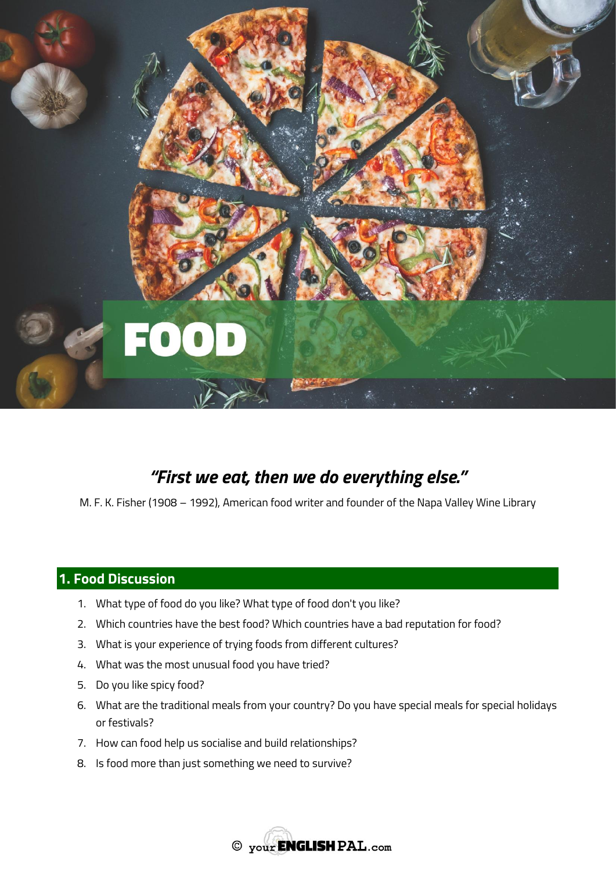

# *"First we eat, then we do everything else."*

M. F. K. Fisher (1908 – 1992), American food writer and founder of the Napa Valley Wine Library

### **1. Food Discussion**

- 1. What type of food do you like? What type of food don't you like?
- 2. Which countries have the best food? Which countries have a bad reputation for food?
- 3. What is your experience of trying foods from different cultures?
- 4. What was the most unusual food you have tried?
- 5. Do you like spicy food?
- 6. What are the traditional meals from your country? Do you have special meals for special holidays or festivals?
- 7. How can food help us socialise and build relationships?
- 8. Is food more than just something we need to survive?

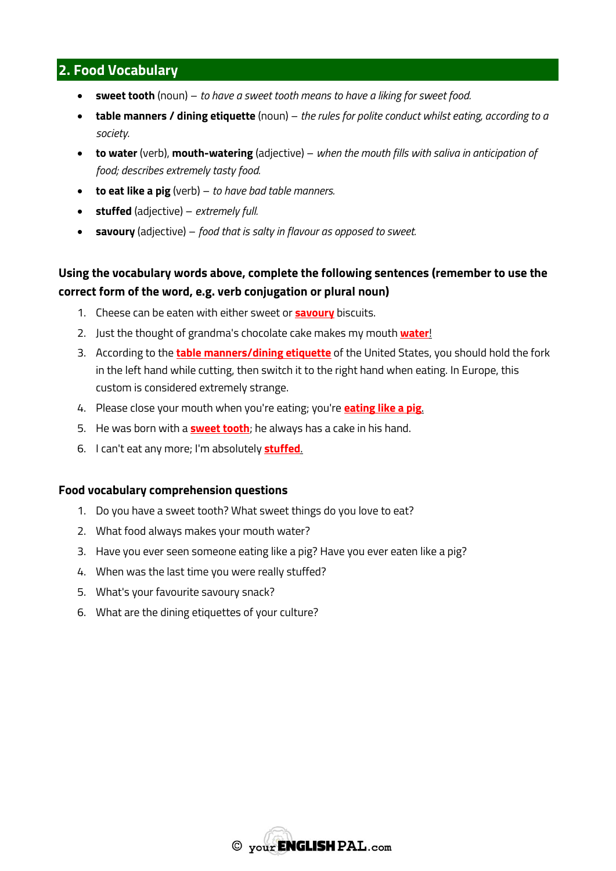# **2. Food Vocabulary**

- **sweet tooth** (noun) *to have a sweet tooth means to have a liking for sweet food.*
- **table manners / dining etiquette** (noun) *the rules for polite conduct whilst eating, according to a society.*
- **to water** (verb), **mouth-watering** (adjective) *when the mouth fills with saliva in anticipation of food; describes extremely tasty food.*
- **to eat like a pig** (verb) *to have bad table manners.*
- **stuffed** (adjective) *extremely full.*
- **savoury** (adjective) *food that is salty in flavour as opposed to sweet.*

## **Using the vocabulary words above, complete the following sentences (remember to use the correct form of the word, e.g. verb conjugation or plural noun)**

- 1. Cheese can be eaten with either sweet or **savoury** biscuits.
- 2. Just the thought of grandma's chocolate cake makes my mouth **water**!
- 3. According to the **table manners/dining etiquette** of the United States, you should hold the fork in the left hand while cutting, then switch it to the right hand when eating. In Europe, this custom is considered extremely strange.
- 4. Please close your mouth when you're eating; you're **eating like a pig**.
- 5. He was born with a **sweet tooth**; he always has a cake in his hand.
- 6. I can't eat any more; I'm absolutely **stuffed**.

### **Food vocabulary comprehension questions**

- 1. Do you have a sweet tooth? What sweet things do you love to eat?
- 2. What food always makes your mouth water?
- 3. Have you ever seen someone eating like a pig? Have you ever eaten like a pig?
- 4. When was the last time you were really stuffed?
- 5. What's your favourite savoury snack?
- 6. What are the dining etiquettes of your culture?

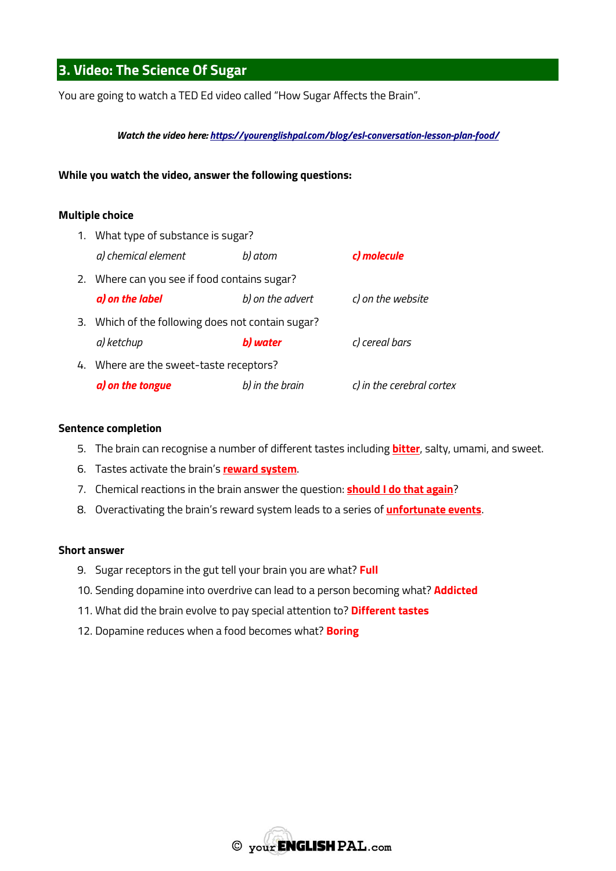# **3. Video: The Science Of Sugar**

You are going to watch a TED Ed video called "How Sugar Affects the Brain".

*Watch the video here:<https://yourenglishpal.com/blog/esl-conversation-lesson-plan-food/>*

### **While you watch the video, answer the following questions:**

#### **Multiple choice**

| 1. What type of substance is sugar?               |                  |                           |
|---------------------------------------------------|------------------|---------------------------|
| a) chemical element                               | b) atom          | c) molecule               |
| 2. Where can you see if food contains sugar?      |                  |                           |
| a) on the label                                   | b) on the advert | c) on the website         |
| 3. Which of the following does not contain sugar? |                  |                           |
| a) ketchup                                        | b) water         | c) cereal bars            |
| 4. Where are the sweet-taste receptors?           |                  |                           |
| a) on the tongue                                  | b) in the brain  | c) in the cerebral cortex |

#### **Sentence completion**

- 5. The brain can recognise a number of different tastes including **bitter**, salty, umami, and sweet.
- 6. Tastes activate the brain's **reward system**.
- 7. Chemical reactions in the brain answer the question: **should I do that again**?
- 8. Overactivating the brain's reward system leads to a series of **unfortunate events**.

### **Short answer**

- 9. Sugar receptors in the gut tell your brain you are what? **Full**
- 10. Sending dopamine into overdrive can lead to a person becoming what? **Addicted**
- 11. What did the brain evolve to pay special attention to? **Different tastes**
- 12. Dopamine reduces when a food becomes what? **Boring**